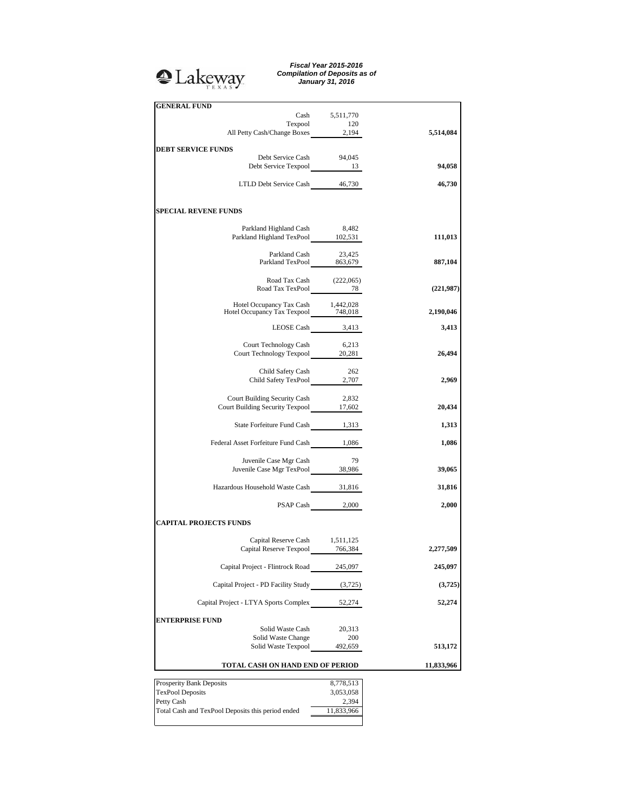## **A**Lakeway

*Fiscal Year 2015-2016 Compilation of Deposits as of January 31, 2016*

| <b>GENERAL FUND</b>                                                           | Cash 5,511,770         |            |
|-------------------------------------------------------------------------------|------------------------|------------|
| Texpool 120<br>All Petty Cash/Change Boxes 2,194                              |                        |            |
|                                                                               |                        | 5,514,084  |
| <b>DEBT SERVICE FUNDS</b>                                                     |                        |            |
| Debt Service Cash<br>Debt Service Texpool 13                                  | 94,045                 | 94,058     |
| LTLD Debt Service Cash 46,730                                                 |                        | 46,730     |
| <b>SPECIAL REVENE FUNDS</b>                                                   |                        |            |
|                                                                               |                        |            |
| Parkland Highland Cash 8,482<br>Parkland Highland TexPool 102,531             |                        | 111,013    |
| Parkland Cash 23,425<br>Parkland TexPool 863,679                              |                        |            |
|                                                                               |                        | 887,104    |
| Road Tax Cash (222,065)<br>Road Tax TexPool 78                                |                        | (221,987)  |
| Hotel Occupancy Tax Cash 1,442,028<br>Hotel Occupancy Tax Texpool 748,018     |                        |            |
|                                                                               |                        | 2,190,046  |
| LEOSE Cash 3,413                                                              |                        | 3,413      |
| Court Technology Cash 6,213<br>Court Technology Texpool 20,281                |                        | 26,494     |
|                                                                               |                        |            |
| Child Safety Cash<br>Child Safety TexPool 2,707                               | 262                    | 2,969      |
|                                                                               |                        |            |
| <b>Court Building Security Cash</b><br>Court Building Security Texpool 17,602 | 2,832                  | 20,434     |
| State Forfeiture Fund Cash 1,313                                              |                        | 1,313      |
| Federal Asset Forfeiture Fund Cash 1,086                                      |                        | 1,086      |
|                                                                               | 79                     |            |
| Juvenile Case Mgr Cash<br>Juvenile Case Mgr TexPool 38,986                    |                        | 39,065     |
| Hazardous Household Waste Cash 31,816                                         |                        | 31,816     |
| PSAP Cash 2,000                                                               |                        | 2,000      |
| <b>CAPITAL PROJECTS FUNDS</b>                                                 |                        |            |
|                                                                               |                        |            |
| Capital Reserve Cash 1,511,125<br>Capital Reserve Texpool 766,384             |                        | 2,277,509  |
| Capital Project - Flintrock Road                                              | 245,097                | 245,097    |
| Capital Project - PD Facility Study (3,725)                                   |                        | (3,725)    |
| Capital Project - LTYA Sports Complex                                         | 52,274                 | 52,274     |
| <b>ENTERPRISE FUND</b>                                                        |                        |            |
| Solid Waste Cash<br>Solid Waste Change                                        | 20,313<br>200          |            |
| Solid Waste Texpool                                                           | 492,659                | 513,172    |
| TOTAL CASH ON HAND END OF PERIOD                                              |                        | 11,833,966 |
|                                                                               |                        |            |
| Prosperity Bank Deposits<br><b>TexPool Deposits</b>                           | 8,778,513<br>3,053,058 |            |
|                                                                               |                        |            |

Petty Cash 2,394 Total Cash and TexPool Deposits this period ended 11,833,966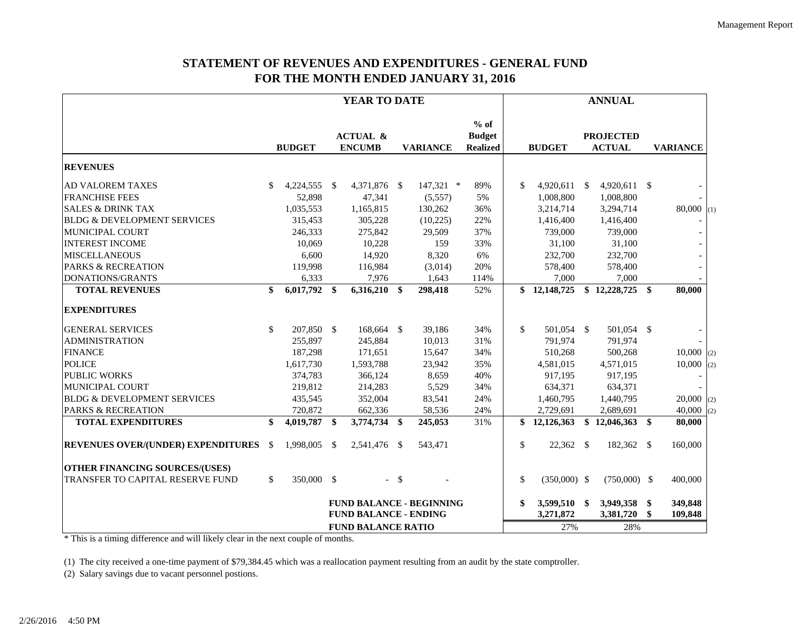## **STATEMENT OF REVENUES AND EXPENDITURES - GENERAL FUND FOR THE MONTH ENDED JANUARY 31, 2016**

|                                              | YEAR TO DATE |               |          |                                      |        |                                 | <b>ANNUAL</b>                              |    |                |    |                                   |      |                         |     |
|----------------------------------------------|--------------|---------------|----------|--------------------------------------|--------|---------------------------------|--------------------------------------------|----|----------------|----|-----------------------------------|------|-------------------------|-----|
|                                              |              | <b>BUDGET</b> |          | <b>ACTUAL &amp;</b><br><b>ENCUMB</b> |        | <b>VARIANCE</b>                 | $%$ of<br><b>Budget</b><br><b>Realized</b> |    | <b>BUDGET</b>  |    | <b>PROJECTED</b><br><b>ACTUAL</b> |      | <b>VARIANCE</b>         |     |
| <b>REVENUES</b>                              |              |               |          |                                      |        |                                 |                                            |    |                |    |                                   |      |                         |     |
| <b>AD VALOREM TAXES</b>                      | \$           | 4,224,555 \$  |          | 4,371,876 \$                         |        | 147,321 *                       | 89%                                        | \$ | $4,920,611$ \$ |    | 4,920,611 \$                      |      |                         |     |
| <b>FRANCHISE FEES</b>                        |              | 52,898        |          | 47,341                               |        | (5,557)                         | 5%                                         |    | 1,008,800      |    | 1,008,800                         |      |                         |     |
| <b>SALES &amp; DRINK TAX</b>                 |              | 1,035,553     |          | 1,165,815                            |        | 130,262                         | 36%                                        |    | 3,214,714      |    | 3,294,714                         |      | $80,000$ (1)            |     |
| <b>BLDG &amp; DEVELOPMENT SERVICES</b>       |              | 315,453       |          | 305,228                              |        | (10,225)                        | 22%                                        |    | 1,416,400      |    | 1,416,400                         |      |                         |     |
| MUNICIPAL COURT                              |              | 246,333       |          | 275,842                              |        | 29,509                          | 37%                                        |    | 739,000        |    | 739,000                           |      |                         |     |
| <b>INTEREST INCOME</b>                       |              | 10,069        |          | 10,228                               |        | 159                             | 33%                                        |    | 31,100         |    | 31,100                            |      |                         |     |
| <b>MISCELLANEOUS</b>                         |              | 6,600         |          | 14,920                               |        | 8,320                           | 6%                                         |    | 232,700        |    | 232,700                           |      |                         |     |
| <b>PARKS &amp; RECREATION</b>                |              | 119,998       |          | 116,984                              |        | (3,014)                         | 20%                                        |    | 578,400        |    | 578,400                           |      |                         |     |
| DONATIONS/GRANTS                             |              | 6,333         |          | 7,976                                |        | 1,643                           | 114%                                       |    | 7,000          |    | 7,000                             |      |                         |     |
| <b>TOTAL REVENUES</b>                        | \$           | 6,017,792     | -\$      | $6,316,210$ \$                       |        | 298,418                         | 52%                                        |    | \$12,148,725   |    | $$12,228,725$ \\$                 |      | 80,000                  |     |
| <b>EXPENDITURES</b>                          |              |               |          |                                      |        |                                 |                                            |    |                |    |                                   |      |                         |     |
| <b>GENERAL SERVICES</b>                      | \$           | 207,850 \$    |          | 168,664 \$                           |        | 39,186                          | 34%                                        | \$ | 501,054 \$     |    | 501,054 \$                        |      |                         |     |
| <b>ADMINISTRATION</b>                        |              | 255,897       |          | 245,884                              |        | 10,013                          | 31%                                        |    | 791,974        |    | 791,974                           |      |                         |     |
| <b>FINANCE</b>                               |              | 187,298       |          | 171,651                              |        | 15,647                          | 34%                                        |    | 510,268        |    | 500,268                           |      | $10,000$ <sub>(2)</sub> |     |
| <b>POLICE</b>                                |              | 1,617,730     |          | 1,593,788                            |        | 23,942                          | 35%                                        |    | 4,581,015      |    | 4,571,015                         |      | $10,000$ <sub>(2)</sub> |     |
| <b>PUBLIC WORKS</b>                          |              | 374,783       |          | 366,124                              |        | 8,659                           | 40%                                        |    | 917,195        |    | 917,195                           |      |                         |     |
| <b>MUNICIPAL COURT</b>                       |              | 219,812       |          | 214,283                              |        | 5,529                           | 34%                                        |    | 634,371        |    | 634,371                           |      |                         |     |
| <b>BLDG &amp; DEVELOPMENT SERVICES</b>       |              | 435,545       |          | 352,004                              |        | 83,541                          | 24%                                        |    | 1,460,795      |    | 1,440,795                         |      | $20,000$ <sub>(2)</sub> |     |
| <b>PARKS &amp; RECREATION</b>                |              | 720,872       |          | 662,336                              |        | 58,536                          | 24%                                        |    | 2,729,691      |    | 2,689,691                         |      | 40,000                  | (2) |
| <b>TOTAL EXPENDITURES</b>                    | \$           | 4,019,787     | -\$      | 3,774,734 \$                         |        | 245,053                         | 31%                                        |    | \$12,126,363   | \$ | 12,046,363                        | - \$ | 80,000                  |     |
| <b>REVENUES OVER/(UNDER) EXPENDITURES</b> \$ |              | 1,998,005     | <b>S</b> | 2,541,476 \$                         |        | 543,471                         |                                            | \$ | 22,362 \$      |    | 182,362 \$                        |      | 160,000                 |     |
| <b>OTHER FINANCING SOURCES/(USES)</b>        |              |               |          |                                      |        |                                 |                                            |    |                |    |                                   |      |                         |     |
| TRANSFER TO CAPITAL RESERVE FUND             | \$           | 350,000 \$    |          |                                      | $-$ \$ |                                 |                                            | \$ | $(350,000)$ \$ |    | $(750,000)$ \$                    |      | 400,000                 |     |
|                                              |              |               |          |                                      |        | <b>FUND BALANCE - BEGINNING</b> |                                            | \$ | 3,599,510 \$   |    | 3,949,358 \$                      |      | 349,848                 |     |
|                                              |              |               |          | <b>FUND BALANCE - ENDING</b>         |        |                                 |                                            |    | 3,271,872      |    | 3,381,720                         | \$   | 109,848                 |     |
|                                              |              |               |          | <b>FUND BALANCE RATIO</b>            |        |                                 |                                            |    | 27%            |    | 28%                               |      |                         |     |

\* This is a timing difference and will likely clear in the next couple of months.

(1) The city received a one-time payment of \$79,384.45 which was a reallocation payment resulting from an audit by the state comptroller.

(2) Salary savings due to vacant personnel postions.